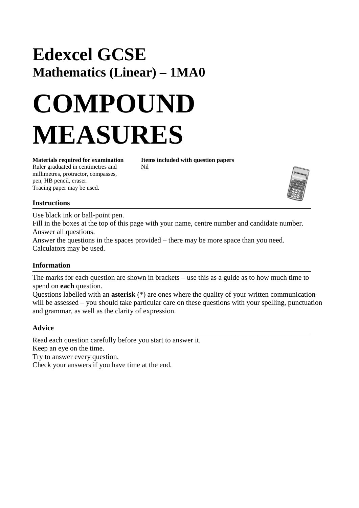## **Edexcel GCSE Mathematics (Linear) – 1MA0**

# **COMPOUND MEASURES**

Ruler graduated in centimetres and Nil millimetres, protractor, compasses, pen, HB pencil, eraser. Tracing paper may be used.

**Materials required for examination Items included with question papers**



#### **Instructions**

Use black ink or ball-point pen.

Fill in the boxes at the top of this page with your name, centre number and candidate number. Answer all questions.

Answer the questions in the spaces provided – there may be more space than you need. Calculators may be used.

### **Information**

The marks for each question are shown in brackets – use this as a guide as to how much time to spend on **each** question.

Questions labelled with an **asterisk** (\*) are ones where the quality of your written communication will be assessed – you should take particular care on these questions with your spelling, punctuation and grammar, as well as the clarity of expression.

#### **Advice**

Read each question carefully before you start to answer it. Keep an eye on the time. Try to answer every question. Check your answers if you have time at the end.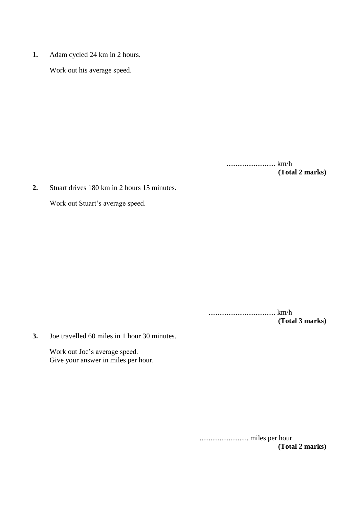**1.** Adam cycled 24 km in 2 hours.

Work out his average speed.

........................... km/h **(Total 2 marks)**

**2.** Stuart drives 180 km in 2 hours 15 minutes.

Work out Stuart's average speed.

..................................... km/h **(Total 3 marks)**

**3.** Joe travelled 60 miles in 1 hour 30 minutes.

Work out Joe's average speed. Give your answer in miles per hour.

> ........................... miles per hour **(Total 2 marks)**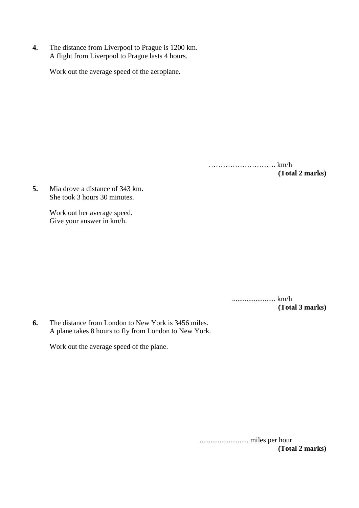**4.** The distance from Liverpool to Prague is 1200 km. A flight from Liverpool to Prague lasts 4 hours.

Work out the average speed of the aeroplane.

………………………. km/h **(Total 2 marks)**

**5.** Mia drove a distance of 343 km. She took 3 hours 30 minutes.

> Work out her average speed. Give your answer in km/h.

> > ........................ km/h **(Total 3 marks)**

**6.** The distance from London to New York is 3456 miles. A plane takes 8 hours to fly from London to New York.

Work out the average speed of the plane.

........................... miles per hour **(Total 2 marks)**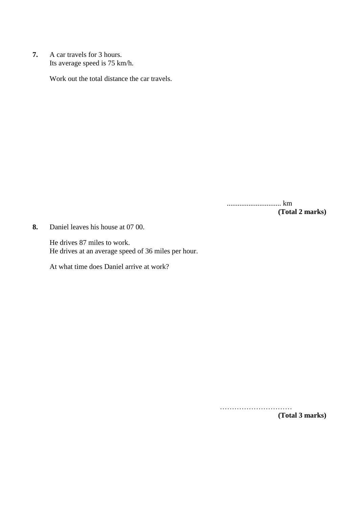**7.** A car travels for 3 hours. Its average speed is 75 km/h.

Work out the total distance the car travels.

.............................. km **(Total 2 marks)**

**8.** Daniel leaves his house at 07 00.

He drives 87 miles to work. He drives at an average speed of 36 miles per hour.

At what time does Daniel arrive at work?

……………………………

**(Total 3 marks)**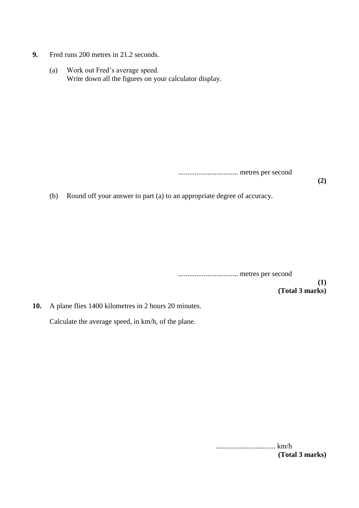- **9.** Fred runs 200 metres in 21.2 seconds.
	- (a) Work out Fred's average speed. Write down all the figures on your calculator display.

................................. metres per second

**(2)**

(b) Round off your answer to part (a) to an appropriate degree of accuracy.

................................. metres per second

**(1) (Total 3 marks)**

**10.** A plane flies 1400 kilometres in 2 hours 20 minutes.

Calculate the average speed, in km/h, of the plane.

................................. km/h **(Total 3 marks)**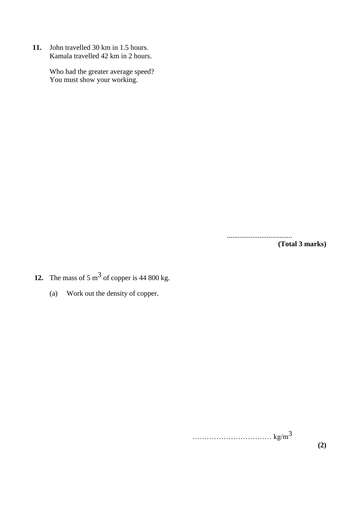**11.** John travelled 30 km in 1.5 hours. Kamala travelled 42 km in 2 hours.

> Who had the greater average speed? You must show your working.

> > .................................... **(Total 3 marks)**

- **12.** The mass of 5  $\text{m}^3$  of copper is 44 800 kg.
	- (a) Work out the density of copper.

 $\ldots$  kg/m<sup>3</sup>

**(2)**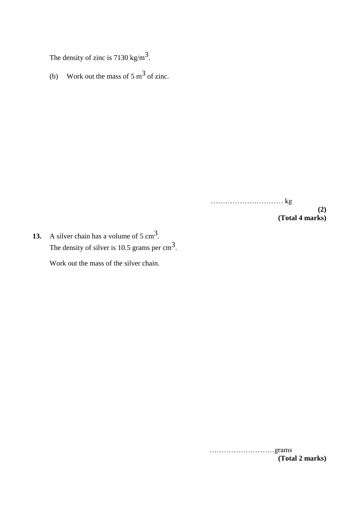The density of zinc is 7130 kg/m<sup>3</sup>.

(b) Work out the mass of 5 m<sup>3</sup> of zinc.

………………………… kg **(2) (Total 4 marks)**

**13.** A silver chain has a volume of  $5 \text{ cm}^3$ . The density of silver is 10.5 grams per  $\text{cm}^3$ . Work out the mass of the silver chain.

> ………………………grams **(Total 2 marks)**